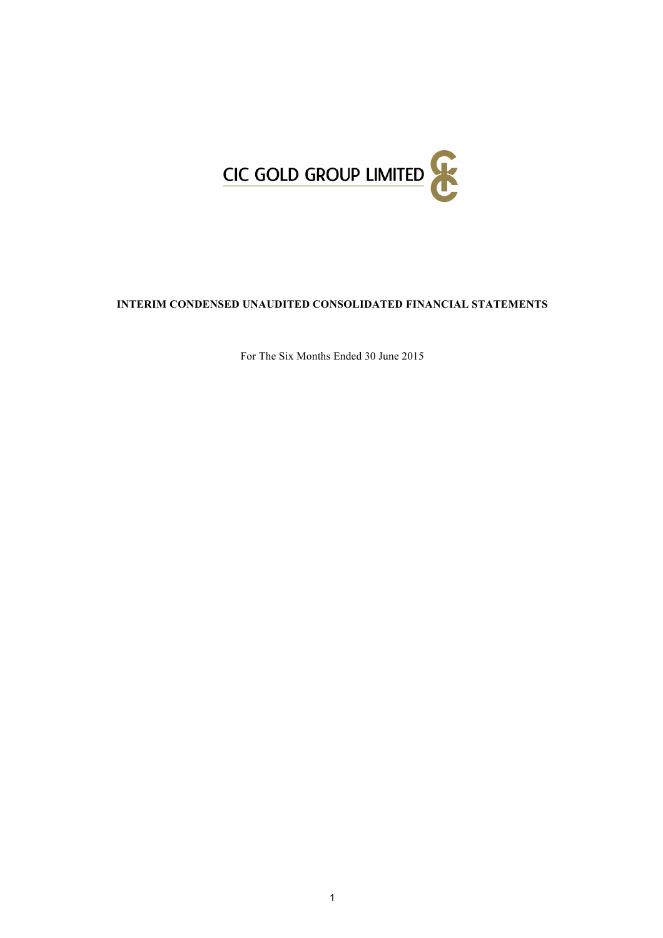

# **INTERIM CONDENSED UNAUDITED CONSOLIDATED FINANCIAL STATEMENTS**

For The Six Months Ended 30 June 2015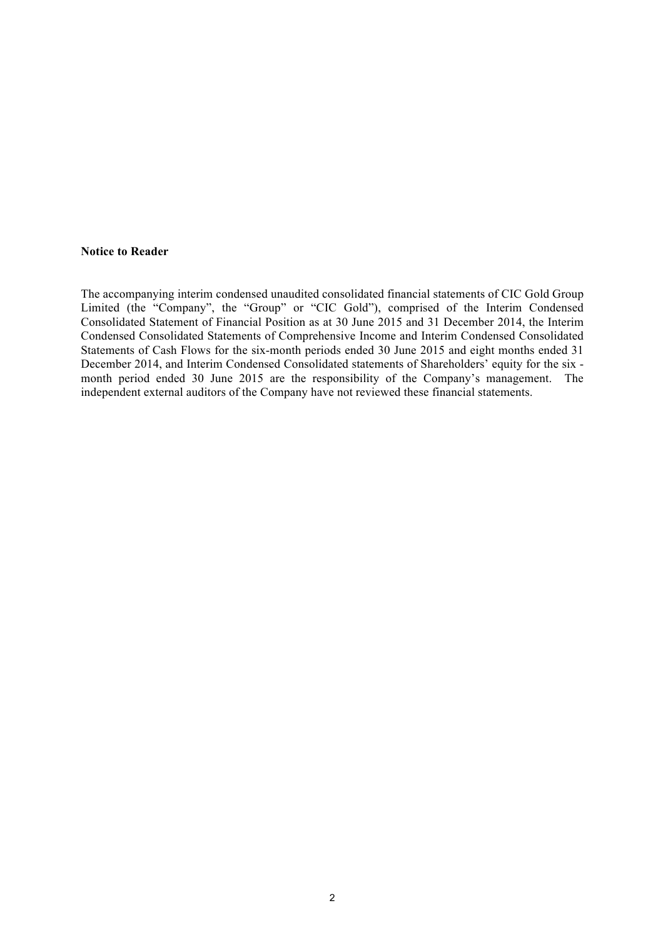### **Notice to Reader**

The accompanying interim condensed unaudited consolidated financial statements of CIC Gold Group Limited (the "Company", the "Group" or "CIC Gold"), comprised of the Interim Condensed Consolidated Statement of Financial Position as at 30 June 2015 and 31 December 2014, the Interim Condensed Consolidated Statements of Comprehensive Income and Interim Condensed Consolidated Statements of Cash Flows for the six-month periods ended 30 June 2015 and eight months ended 31 December 2014, and Interim Condensed Consolidated statements of Shareholders' equity for the six month period ended 30 June 2015 are the responsibility of the Company's management. The independent external auditors of the Company have not reviewed these financial statements.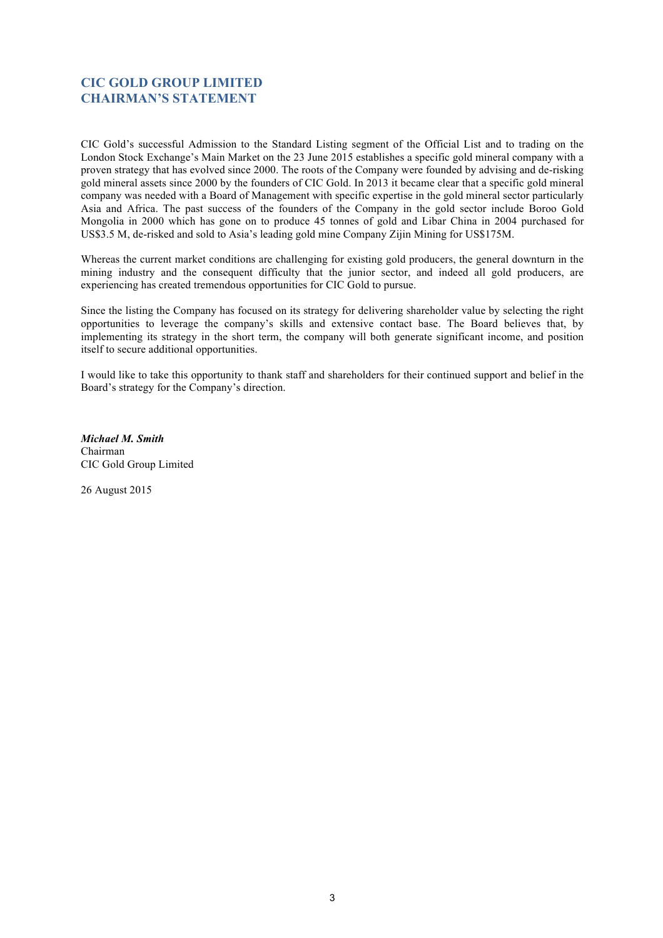# **CIC GOLD GROUP LIMITED CHAIRMAN'S STATEMENT**

CIC Gold's successful Admission to the Standard Listing segment of the Official List and to trading on the London Stock Exchange's Main Market on the 23 June 2015 establishes a specific gold mineral company with a proven strategy that has evolved since 2000. The roots of the Company were founded by advising and de-risking gold mineral assets since 2000 by the founders of CIC Gold. In 2013 it became clear that a specific gold mineral company was needed with a Board of Management with specific expertise in the gold mineral sector particularly Asia and Africa. The past success of the founders of the Company in the gold sector include Boroo Gold Mongolia in 2000 which has gone on to produce 45 tonnes of gold and Libar China in 2004 purchased for US\$3.5 M, de-risked and sold to Asia's leading gold mine Company Zijin Mining for US\$175M.

Whereas the current market conditions are challenging for existing gold producers, the general downturn in the mining industry and the consequent difficulty that the junior sector, and indeed all gold producers, are experiencing has created tremendous opportunities for CIC Gold to pursue.

Since the listing the Company has focused on its strategy for delivering shareholder value by selecting the right opportunities to leverage the company's skills and extensive contact base. The Board believes that, by implementing its strategy in the short term, the company will both generate significant income, and position itself to secure additional opportunities.

I would like to take this opportunity to thank staff and shareholders for their continued support and belief in the Board's strategy for the Company's direction.

*Michael M. Smith* Chairman CIC Gold Group Limited

26 August 2015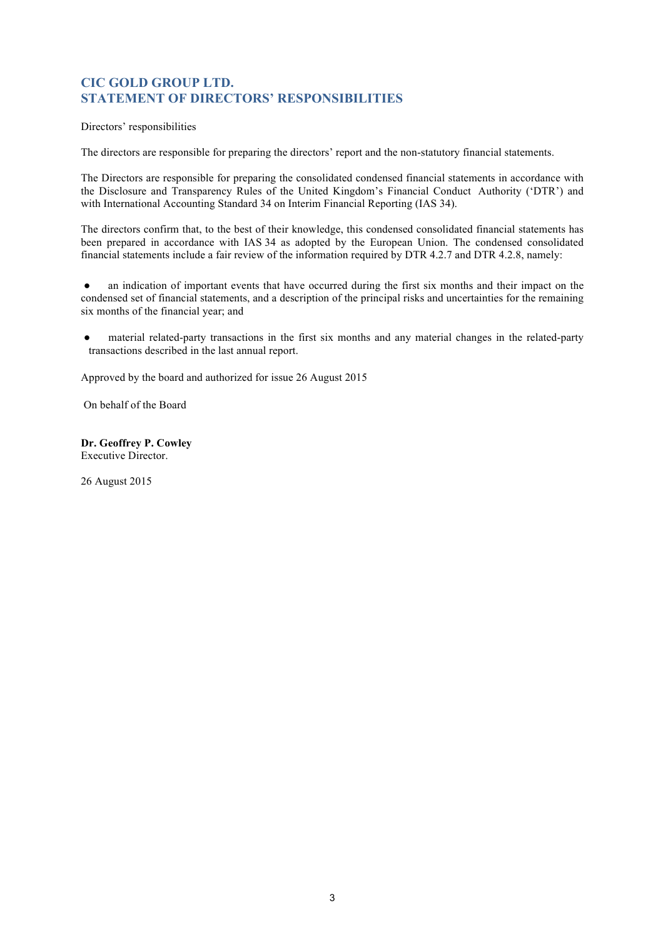# **CIC GOLD GROUP LTD. STATEMENT OF DIRECTORS' RESPONSIBILITIES**

Directors' responsibilities

The directors are responsible for preparing the directors' report and the non-statutory financial statements.

The Directors are responsible for preparing the consolidated condensed financial statements in accordance with the Disclosure and Transparency Rules of the United Kingdom's Financial Conduct Authority ('DTR') and with International Accounting Standard 34 on Interim Financial Reporting (IAS 34).

The directors confirm that, to the best of their knowledge, this condensed consolidated financial statements has been prepared in accordance with IAS 34 as adopted by the European Union. The condensed consolidated financial statements include a fair review of the information required by DTR 4.2.7 and DTR 4.2.8, namely:

● an indication of important events that have occurred during the first six months and their impact on the condensed set of financial statements, and a description of the principal risks and uncertainties for the remaining six months of the financial year; and

● material related-party transactions in the first six months and any material changes in the related-party transactions described in the last annual report.

Approved by the board and authorized for issue 26 August 2015

On behalf of the Board

**Dr. Geoffrey P. Cowley** Executive Director.

26 August 2015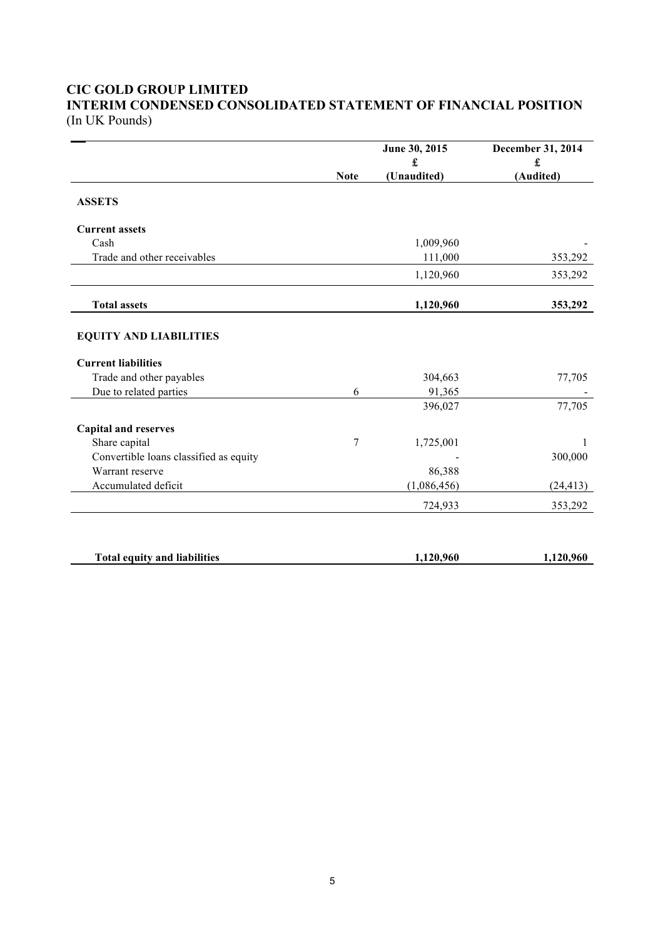# **CIC GOLD GROUP LIMITED INTERIM CONDENSED CONSOLIDATED STATEMENT OF FINANCIAL POSITION**

(In UK Pounds)

|                                        |             | June 30, 2015 | December 31, 2014 |
|----------------------------------------|-------------|---------------|-------------------|
|                                        |             | £             | £                 |
|                                        | <b>Note</b> | (Unaudited)   | (Audited)         |
| <b>ASSETS</b>                          |             |               |                   |
| <b>Current assets</b>                  |             |               |                   |
| Cash                                   |             | 1,009,960     |                   |
| Trade and other receivables            |             | 111,000       | 353,292           |
|                                        |             | 1,120,960     | 353,292           |
| <b>Total assets</b>                    |             | 1,120,960     | 353,292           |
| <b>EQUITY AND LIABILITIES</b>          |             |               |                   |
| <b>Current liabilities</b>             |             |               |                   |
| Trade and other payables               |             | 304,663       | 77,705            |
| Due to related parties                 | 6           | 91,365        |                   |
|                                        |             | 396,027       | 77,705            |
| <b>Capital and reserves</b>            |             |               |                   |
| Share capital                          | 7           | 1,725,001     | 1                 |
| Convertible loans classified as equity |             |               | 300,000           |
| Warrant reserve                        |             | 86,388        |                   |
| Accumulated deficit                    |             | (1,086,456)   | (24, 413)         |
|                                        |             | 724,933       | 353,292           |
|                                        |             |               |                   |
| <b>Total equity and liabilities</b>    |             | 1,120,960     | 1,120,960         |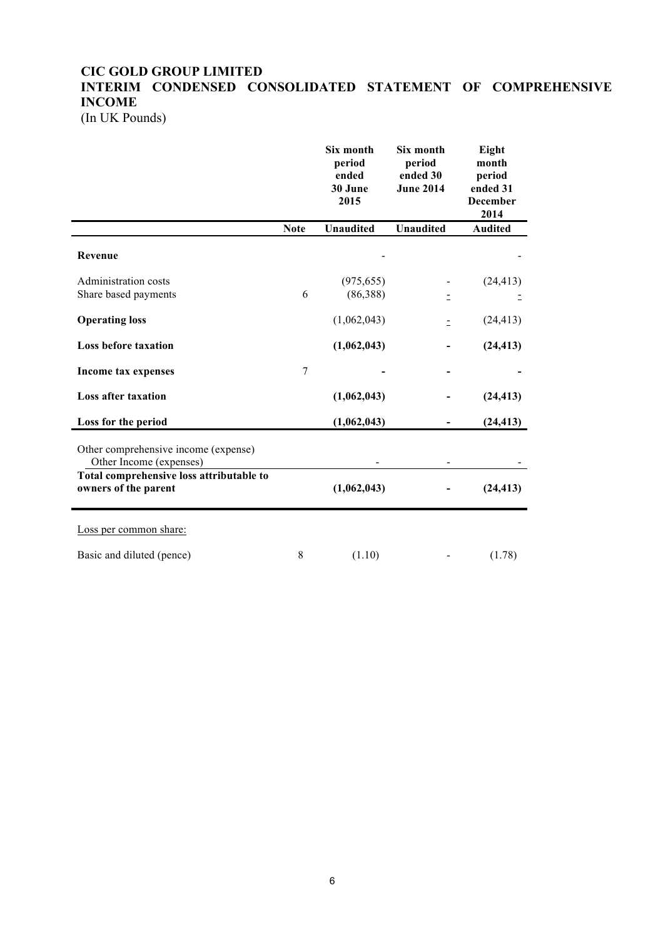# **CIC GOLD GROUP LIMITED INTERIM CONDENSED CONSOLIDATED STATEMENT OF COMPREHENSIVE INCOME**

(In UK Pounds)

|                                                                  |             | Six month<br>period<br>ended<br>30 June<br>2015 | Six month<br>period<br>ended 30<br><b>June 2014</b> | Eight<br>month<br>period<br>ended 31<br><b>December</b><br>2014 |
|------------------------------------------------------------------|-------------|-------------------------------------------------|-----------------------------------------------------|-----------------------------------------------------------------|
|                                                                  | <b>Note</b> | <b>Unaudited</b>                                | <b>Unaudited</b>                                    | <b>Audited</b>                                                  |
| Revenue                                                          |             |                                                 |                                                     |                                                                 |
| Administration costs<br>Share based payments                     | 6           | (975, 655)<br>(86,388)                          |                                                     | (24, 413)                                                       |
| <b>Operating loss</b>                                            |             | (1,062,043)                                     | $\equiv$                                            | (24, 413)                                                       |
| <b>Loss before taxation</b>                                      |             | (1,062,043)                                     |                                                     | (24, 413)                                                       |
| <b>Income tax expenses</b>                                       | $\sqrt{ }$  |                                                 |                                                     |                                                                 |
| <b>Loss after taxation</b>                                       |             | (1,062,043)                                     |                                                     | (24, 413)                                                       |
| Loss for the period                                              |             | (1,062,043)                                     |                                                     | (24, 413)                                                       |
| Other comprehensive income (expense)<br>Other Income (expenses)  |             |                                                 |                                                     |                                                                 |
| Total comprehensive loss attributable to<br>owners of the parent |             | (1,062,043)                                     |                                                     | (24, 413)                                                       |
| Loss per common share:                                           |             |                                                 |                                                     |                                                                 |
| Basic and diluted (pence)                                        | 8           | (1.10)                                          |                                                     | (1.78)                                                          |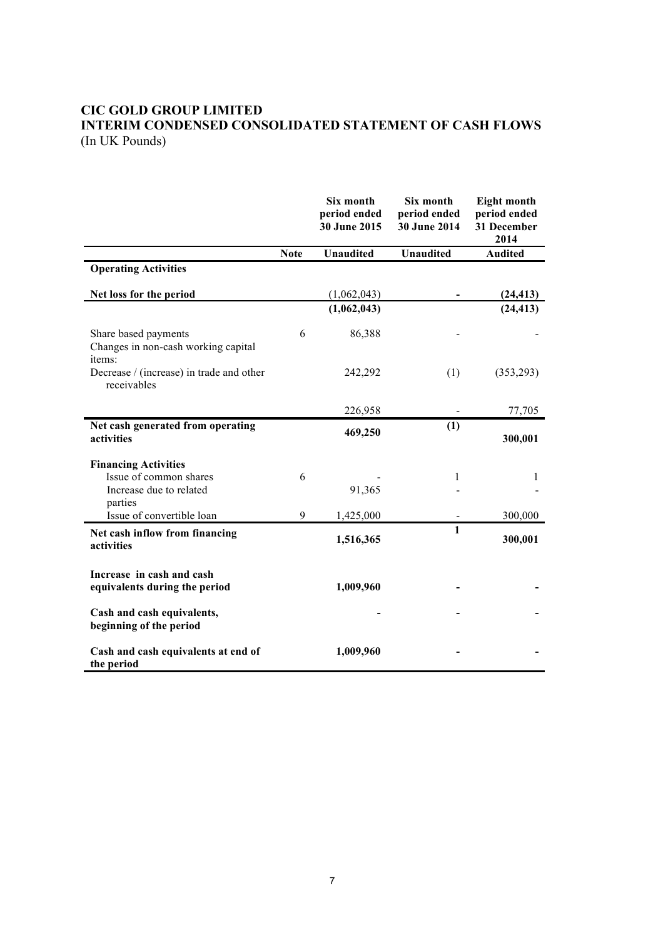# **CIC GOLD GROUP LIMITED INTERIM CONDENSED CONSOLIDATED STATEMENT OF CASH FLOWS** (In UK Pounds)

|                                                                       |             | Six month<br>period ended<br>30 June 2015 | Six month<br>period ended<br>30 June 2014 | <b>Eight month</b><br>period ended<br>31 December<br>2014 |
|-----------------------------------------------------------------------|-------------|-------------------------------------------|-------------------------------------------|-----------------------------------------------------------|
|                                                                       | <b>Note</b> | <b>Unaudited</b>                          | <b>Unaudited</b>                          | <b>Audited</b>                                            |
| <b>Operating Activities</b>                                           |             |                                           |                                           |                                                           |
| Net loss for the period                                               |             | (1,062,043)                               |                                           | (24, 413)                                                 |
|                                                                       |             | (1,062,043)                               |                                           | (24, 413)                                                 |
| Share based payments<br>Changes in non-cash working capital<br>items: | 6           | 86,388                                    |                                           |                                                           |
| Decrease / (increase) in trade and other<br>receivables               |             | 242,292                                   | (1)                                       | (353, 293)                                                |
|                                                                       |             | 226,958                                   |                                           | 77,705                                                    |
| Net cash generated from operating<br>activities                       |             | 469,250                                   | (1)                                       | 300,001                                                   |
| <b>Financing Activities</b>                                           |             |                                           |                                           |                                                           |
| Issue of common shares                                                | 6           |                                           | 1                                         | 1                                                         |
| Increase due to related<br>parties                                    |             | 91,365                                    |                                           |                                                           |
| Issue of convertible loan                                             | 9           | 1,425,000                                 |                                           | 300,000                                                   |
| Net cash inflow from financing<br>activities                          |             | 1,516,365                                 | $\mathbf{1}$                              | 300,001                                                   |
| Increase in cash and cash<br>equivalents during the period            |             | 1,009,960                                 |                                           |                                                           |
| Cash and cash equivalents,<br>beginning of the period                 |             |                                           |                                           |                                                           |
| Cash and cash equivalents at end of<br>the period                     |             | 1,009,960                                 |                                           |                                                           |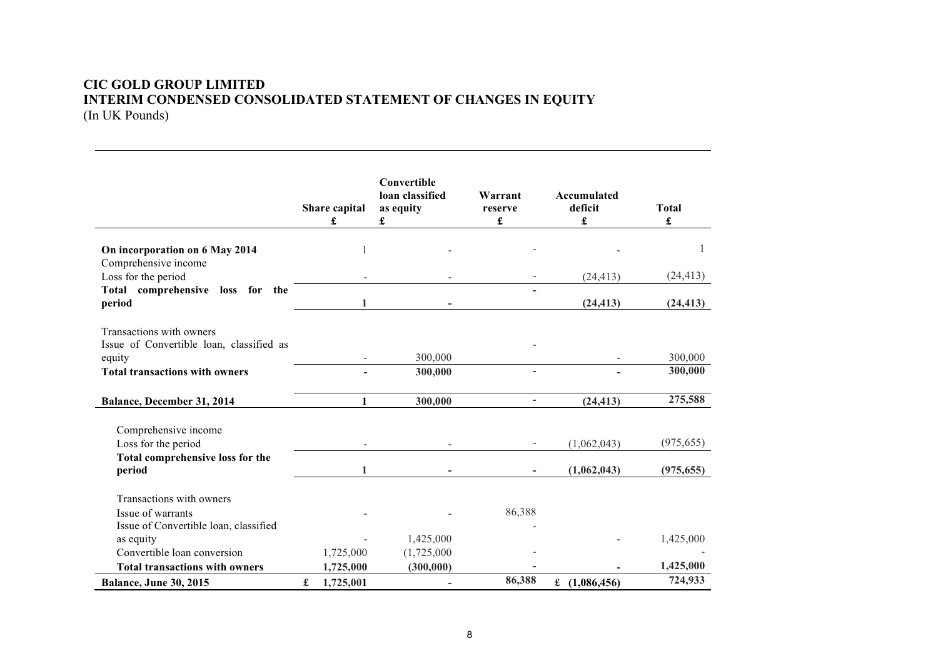# **CIC GOLD GROUP LIMITED INTERIM CONDENSED CONSOLIDATED STATEMENT OF CHANGES IN EQUITY** (In UK Pounds)

|                                                                      |   | Share capital<br>£ | Convertible<br>loan classified<br>as equity<br>£ | Warrant<br>reserve<br>£  | Accumulated<br>deficit<br>£ | <b>Total</b><br>£ |
|----------------------------------------------------------------------|---|--------------------|--------------------------------------------------|--------------------------|-----------------------------|-------------------|
| On incorporation on 6 May 2014                                       |   |                    |                                                  |                          |                             |                   |
| Comprehensive income                                                 |   |                    |                                                  |                          |                             |                   |
| Loss for the period                                                  |   |                    |                                                  |                          | (24, 413)                   | (24, 413)         |
| Total comprehensive loss for the<br>period                           |   | 1                  |                                                  |                          | (24, 413)                   | (24, 413)         |
| Transactions with owners<br>Issue of Convertible loan, classified as |   |                    |                                                  |                          |                             |                   |
| equity                                                               |   | -                  | 300,000                                          |                          |                             | 300,000           |
| <b>Total transactions with owners</b>                                |   |                    | 300,000                                          | ÷                        |                             | 300,000           |
| Balance, December 31, 2014                                           |   | $\mathbf{1}$       | 300,000                                          | $\overline{\phantom{0}}$ | (24, 413)                   | 275,588           |
| Comprehensive income                                                 |   |                    |                                                  |                          |                             |                   |
| Loss for the period                                                  |   |                    |                                                  |                          | (1,062,043)                 | (975, 655)        |
| Total comprehensive loss for the                                     |   |                    |                                                  |                          |                             |                   |
| period                                                               |   | 1                  |                                                  |                          | (1,062,043)                 | (975, 655)        |
| Transactions with owners                                             |   |                    |                                                  |                          |                             |                   |
| Issue of warrants                                                    |   |                    |                                                  | 86,388                   |                             |                   |
| Issue of Convertible loan, classified                                |   |                    |                                                  |                          |                             |                   |
| as equity                                                            |   |                    | 1,425,000                                        |                          |                             | 1,425,000         |
| Convertible loan conversion                                          |   | 1,725,000          | (1,725,000)                                      |                          |                             |                   |
| <b>Total transactions with owners</b>                                |   | 1,725,000          | (300,000)                                        |                          |                             | 1,425,000         |
| <b>Balance, June 30, 2015</b>                                        | £ | 1,725,001          |                                                  | 86,388                   | £ $(1,086,456)$             | 724,933           |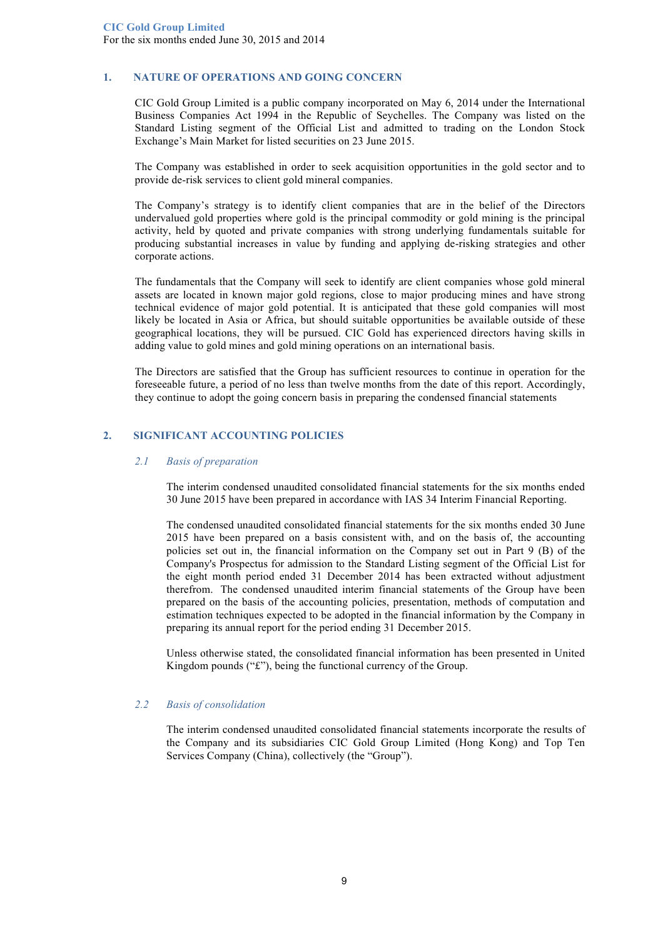## **1. NATURE OF OPERATIONS AND GOING CONCERN**

CIC Gold Group Limited is a public company incorporated on May 6, 2014 under the International Business Companies Act 1994 in the Republic of Seychelles. The Company was listed on the Standard Listing segment of the Official List and admitted to trading on the London Stock Exchange's Main Market for listed securities on 23 June 2015.

The Company was established in order to seek acquisition opportunities in the gold sector and to provide de-risk services to client gold mineral companies.

The Company's strategy is to identify client companies that are in the belief of the Directors undervalued gold properties where gold is the principal commodity or gold mining is the principal activity, held by quoted and private companies with strong underlying fundamentals suitable for producing substantial increases in value by funding and applying de-risking strategies and other corporate actions.

The fundamentals that the Company will seek to identify are client companies whose gold mineral assets are located in known major gold regions, close to major producing mines and have strong technical evidence of major gold potential. It is anticipated that these gold companies will most likely be located in Asia or Africa, but should suitable opportunities be available outside of these geographical locations, they will be pursued. CIC Gold has experienced directors having skills in adding value to gold mines and gold mining operations on an international basis.

The Directors are satisfied that the Group has sufficient resources to continue in operation for the foreseeable future, a period of no less than twelve months from the date of this report. Accordingly, they continue to adopt the going concern basis in preparing the condensed financial statements

# **2. SIGNIFICANT ACCOUNTING POLICIES**

#### *2.1 Basis of preparation*

The interim condensed unaudited consolidated financial statements for the six months ended 30 June 2015 have been prepared in accordance with IAS 34 Interim Financial Reporting.

The condensed unaudited consolidated financial statements for the six months ended 30 June 2015 have been prepared on a basis consistent with, and on the basis of, the accounting policies set out in, the financial information on the Company set out in Part 9 (B) of the Company's Prospectus for admission to the Standard Listing segment of the Official List for the eight month period ended 31 December 2014 has been extracted without adjustment therefrom. The condensed unaudited interim financial statements of the Group have been prepared on the basis of the accounting policies, presentation, methods of computation and estimation techniques expected to be adopted in the financial information by the Company in preparing its annual report for the period ending 31 December 2015.

Unless otherwise stated, the consolidated financial information has been presented in United Kingdom pounds ("£"), being the functional currency of the Group.

#### *2.2 Basis of consolidation*

The interim condensed unaudited consolidated financial statements incorporate the results of the Company and its subsidiaries CIC Gold Group Limited (Hong Kong) and Top Ten Services Company (China), collectively (the "Group").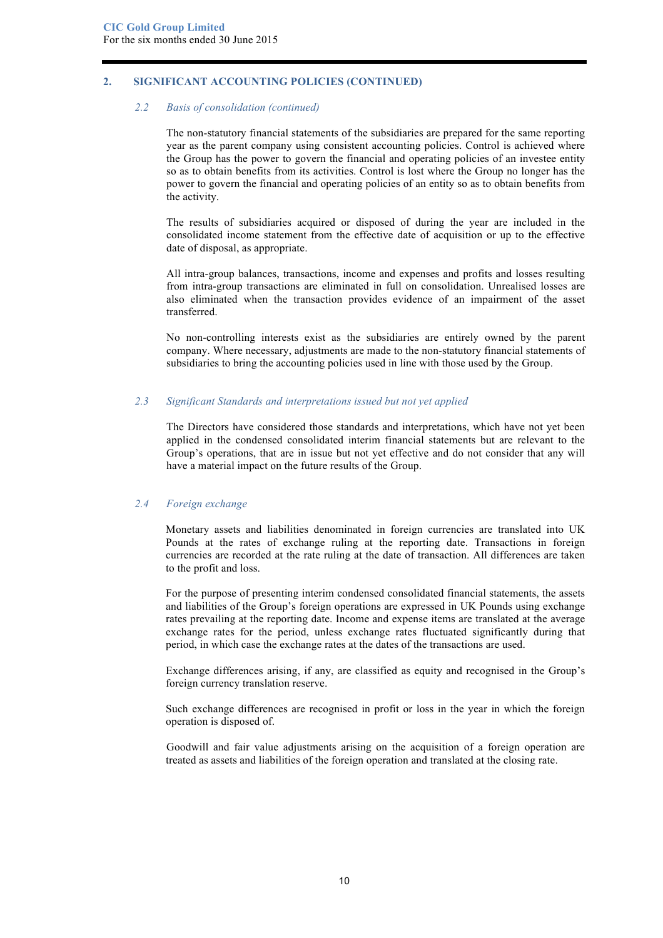# **2. SIGNIFICANT ACCOUNTING POLICIES (CONTINUED)**

#### *2.2 Basis of consolidation (continued)*

The non-statutory financial statements of the subsidiaries are prepared for the same reporting year as the parent company using consistent accounting policies. Control is achieved where the Group has the power to govern the financial and operating policies of an investee entity so as to obtain benefits from its activities. Control is lost where the Group no longer has the power to govern the financial and operating policies of an entity so as to obtain benefits from the activity.

The results of subsidiaries acquired or disposed of during the year are included in the consolidated income statement from the effective date of acquisition or up to the effective date of disposal, as appropriate.

All intra-group balances, transactions, income and expenses and profits and losses resulting from intra-group transactions are eliminated in full on consolidation. Unrealised losses are also eliminated when the transaction provides evidence of an impairment of the asset transferred.

No non-controlling interests exist as the subsidiaries are entirely owned by the parent company. Where necessary, adjustments are made to the non-statutory financial statements of subsidiaries to bring the accounting policies used in line with those used by the Group.

## *2.3 Significant Standards and interpretations issued but not yet applied*

The Directors have considered those standards and interpretations, which have not yet been applied in the condensed consolidated interim financial statements but are relevant to the Group's operations, that are in issue but not yet effective and do not consider that any will have a material impact on the future results of the Group.

#### *2.4 Foreign exchange*

Monetary assets and liabilities denominated in foreign currencies are translated into UK Pounds at the rates of exchange ruling at the reporting date. Transactions in foreign currencies are recorded at the rate ruling at the date of transaction. All differences are taken to the profit and loss.

For the purpose of presenting interim condensed consolidated financial statements, the assets and liabilities of the Group's foreign operations are expressed in UK Pounds using exchange rates prevailing at the reporting date. Income and expense items are translated at the average exchange rates for the period, unless exchange rates fluctuated significantly during that period, in which case the exchange rates at the dates of the transactions are used.

Exchange differences arising, if any, are classified as equity and recognised in the Group's foreign currency translation reserve.

Such exchange differences are recognised in profit or loss in the year in which the foreign operation is disposed of.

Goodwill and fair value adjustments arising on the acquisition of a foreign operation are treated as assets and liabilities of the foreign operation and translated at the closing rate.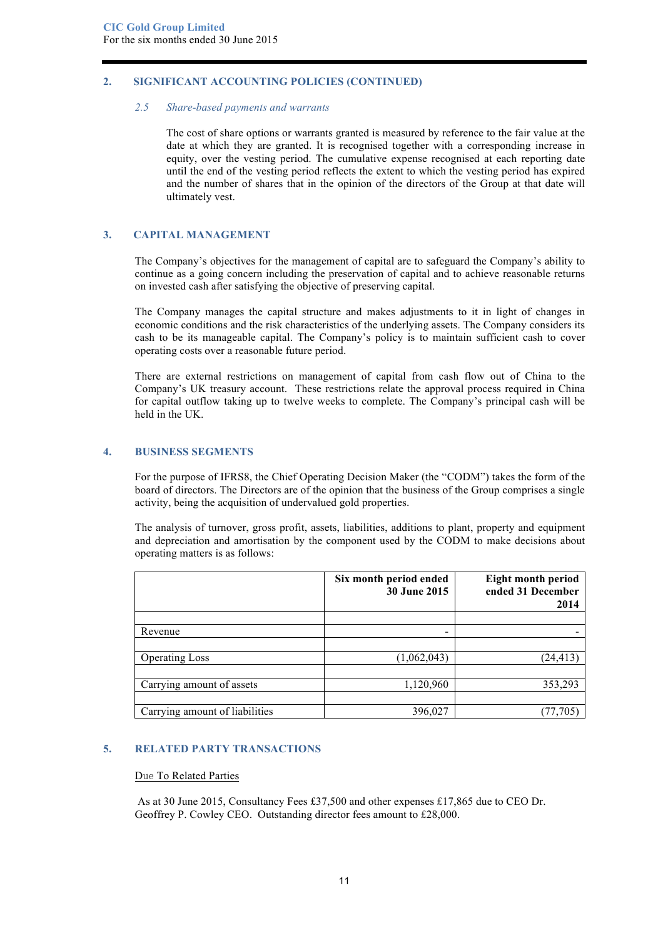# **2. SIGNIFICANT ACCOUNTING POLICIES (CONTINUED)**

#### *2.5 Share-based payments and warrants*

The cost of share options or warrants granted is measured by reference to the fair value at the date at which they are granted. It is recognised together with a corresponding increase in equity, over the vesting period. The cumulative expense recognised at each reporting date until the end of the vesting period reflects the extent to which the vesting period has expired and the number of shares that in the opinion of the directors of the Group at that date will ultimately vest.

## **3. CAPITAL MANAGEMENT**

The Company's objectives for the management of capital are to safeguard the Company's ability to continue as a going concern including the preservation of capital and to achieve reasonable returns on invested cash after satisfying the objective of preserving capital.

The Company manages the capital structure and makes adjustments to it in light of changes in economic conditions and the risk characteristics of the underlying assets. The Company considers its cash to be its manageable capital. The Company's policy is to maintain sufficient cash to cover operating costs over a reasonable future period.

There are external restrictions on management of capital from cash flow out of China to the Company's UK treasury account. These restrictions relate the approval process required in China for capital outflow taking up to twelve weeks to complete. The Company's principal cash will be held in the UK.

#### **4. BUSINESS SEGMENTS**

For the purpose of IFRS8, the Chief Operating Decision Maker (the "CODM") takes the form of the board of directors. The Directors are of the opinion that the business of the Group comprises a single activity, being the acquisition of undervalued gold properties.

The analysis of turnover, gross profit, assets, liabilities, additions to plant, property and equipment and depreciation and amortisation by the component used by the CODM to make decisions about operating matters is as follows:

|                                | Six month period ended<br>30 June 2015 | <b>Eight month period</b><br>ended 31 December<br>2014 |
|--------------------------------|----------------------------------------|--------------------------------------------------------|
|                                |                                        |                                                        |
| Revenue                        |                                        |                                                        |
|                                |                                        |                                                        |
| <b>Operating Loss</b>          | (1,062,043)                            | (24, 413)                                              |
|                                |                                        |                                                        |
| Carrying amount of assets      | 1,120,960                              | 353,293                                                |
|                                |                                        |                                                        |
| Carrying amount of liabilities | 396,027                                | 77,705                                                 |

## **5. RELATED PARTY TRANSACTIONS**

# Due To Related Parties

As at 30 June 2015, Consultancy Fees £37,500 and other expenses £17,865 due to CEO Dr. Geoffrey P. Cowley CEO. Outstanding director fees amount to £28,000.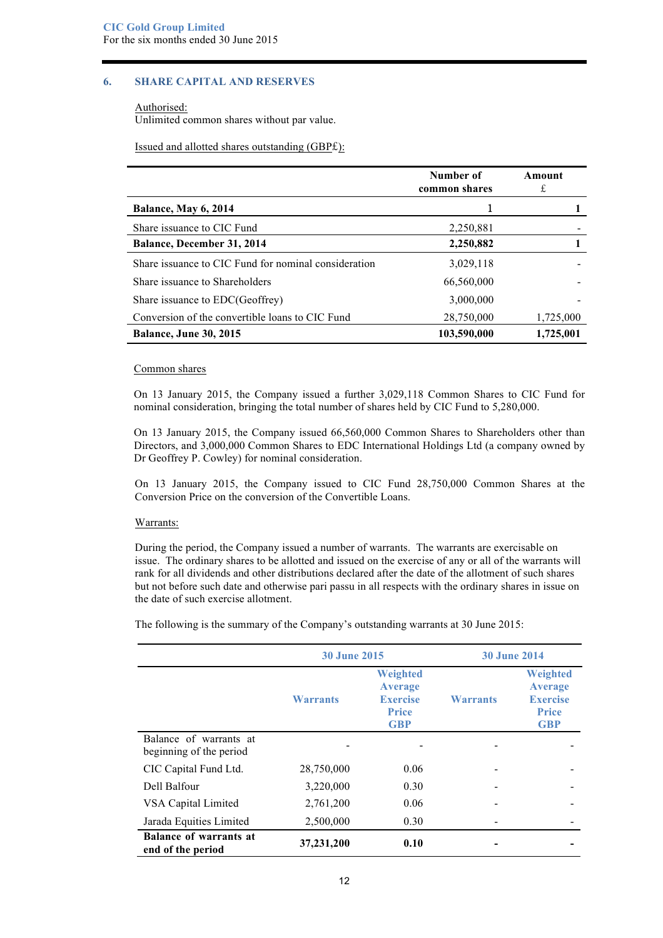# **6. SHARE CAPITAL AND RESERVES**

Authorised: Unlimited common shares without par value.

Issued and allotted shares outstanding (GBP£):

|                                                      | Number of<br>common shares | Amount<br>£ |
|------------------------------------------------------|----------------------------|-------------|
| <b>Balance, May 6, 2014</b>                          |                            |             |
| Share issuance to CIC Fund                           | 2,250,881                  |             |
| <b>Balance, December 31, 2014</b>                    | 2,250,882                  |             |
| Share issuance to CIC Fund for nominal consideration | 3,029,118                  |             |
| Share issuance to Shareholders                       | 66,560,000                 |             |
| Share issuance to EDC(Geoffrey)                      | 3,000,000                  |             |
| Conversion of the convertible loans to CIC Fund      | 28,750,000                 | 1,725,000   |
| <b>Balance, June 30, 2015</b>                        | 103,590,000                | 1,725,001   |

#### Common shares

On 13 January 2015, the Company issued a further 3,029,118 Common Shares to CIC Fund for nominal consideration, bringing the total number of shares held by CIC Fund to 5,280,000.

On 13 January 2015, the Company issued 66,560,000 Common Shares to Shareholders other than Directors, and 3,000,000 Common Shares to EDC International Holdings Ltd (a company owned by Dr Geoffrey P. Cowley) for nominal consideration.

On 13 January 2015, the Company issued to CIC Fund 28,750,000 Common Shares at the Conversion Price on the conversion of the Convertible Loans.

#### Warrants:

During the period, the Company issued a number of warrants. The warrants are exercisable on issue. The ordinary shares to be allotted and issued on the exercise of any or all of the warrants will rank for all dividends and other distributions declared after the date of the allotment of such shares but not before such date and otherwise pari passu in all respects with the ordinary shares in issue on the date of such exercise allotment.

The following is the summary of the Company's outstanding warrants at 30 June 2015:

|                                                    | <b>30 June 2015</b> |                                                                                    |                 | <b>30 June 2014</b>                                                         |
|----------------------------------------------------|---------------------|------------------------------------------------------------------------------------|-----------------|-----------------------------------------------------------------------------|
|                                                    | <b>Warrants</b>     | <b>Weighted</b><br><b>Average</b><br><b>Exercise</b><br><b>Price</b><br><b>GBP</b> | <b>Warrants</b> | Weighted<br><b>Average</b><br><b>Exercise</b><br><b>Price</b><br><b>GBP</b> |
| Balance of warrants at<br>beginning of the period  |                     |                                                                                    |                 |                                                                             |
| CIC Capital Fund Ltd.                              | 28,750,000          | 0.06                                                                               |                 |                                                                             |
| Dell Balfour                                       | 3,220,000           | 0.30                                                                               |                 |                                                                             |
| VSA Capital Limited                                | 2,761,200           | 0.06                                                                               |                 |                                                                             |
| Jarada Equities Limited                            | 2,500,000           | 0.30                                                                               |                 |                                                                             |
| <b>Balance of warrants at</b><br>end of the period | 37,231,200          | 0.10                                                                               |                 |                                                                             |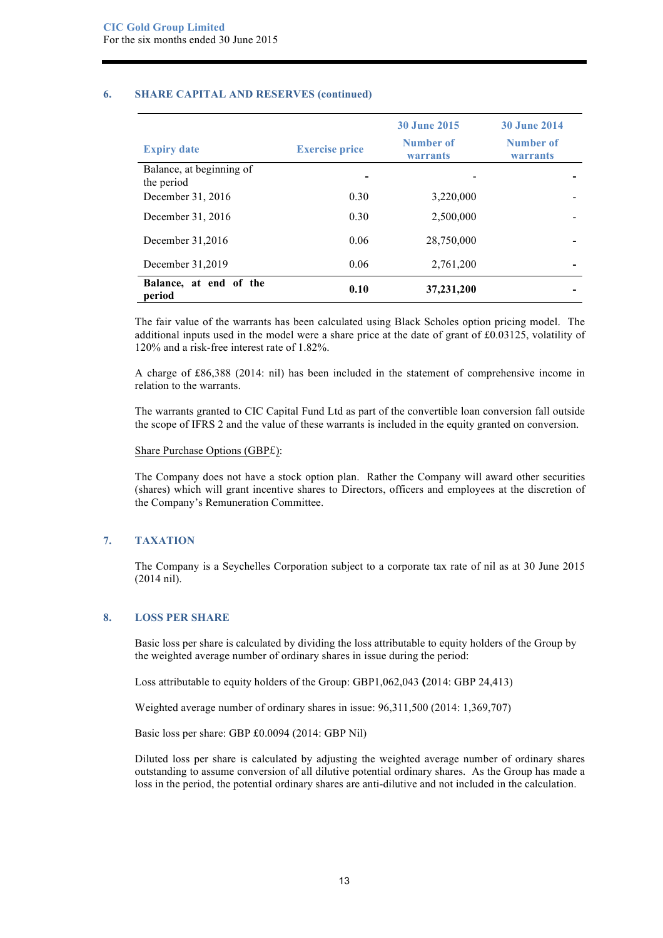### **6. SHARE CAPITAL AND RESERVES (continued)**

| <b>Expiry date</b>                     | <b>Exercise price</b> | <b>30 June 2015</b><br>Number of<br><b>warrants</b> | <b>30 June 2014</b><br>Number of<br>warrants |
|----------------------------------------|-----------------------|-----------------------------------------------------|----------------------------------------------|
| Balance, at beginning of<br>the period |                       |                                                     |                                              |
| December 31, 2016                      | 0.30                  | 3,220,000                                           |                                              |
| December 31, 2016                      | 0.30                  | 2,500,000                                           |                                              |
| December 31,2016                       | 0.06                  | 28,750,000                                          |                                              |
| December 31,2019                       | 0.06                  | 2,761,200                                           |                                              |
| Balance, at end of the<br>period       | 0.10                  | 37,231,200                                          |                                              |

The fair value of the warrants has been calculated using Black Scholes option pricing model. The additional inputs used in the model were a share price at the date of grant of £0.03125, volatility of 120% and a risk-free interest rate of 1.82%.

A charge of £86,388 (2014: nil) has been included in the statement of comprehensive income in relation to the warrants.

The warrants granted to CIC Capital Fund Ltd as part of the convertible loan conversion fall outside the scope of IFRS 2 and the value of these warrants is included in the equity granted on conversion.

#### Share Purchase Options (GBP£):

The Company does not have a stock option plan. Rather the Company will award other securities (shares) which will grant incentive shares to Directors, officers and employees at the discretion of the Company's Remuneration Committee.

#### **7. TAXATION**

The Company is a Seychelles Corporation subject to a corporate tax rate of nil as at 30 June 2015 (2014 nil).

## **8. LOSS PER SHARE**

Basic loss per share is calculated by dividing the loss attributable to equity holders of the Group by the weighted average number of ordinary shares in issue during the period:

Loss attributable to equity holders of the Group: GBP1,062,043 **(**2014: GBP 24,413)

Weighted average number of ordinary shares in issue: 96,311,500 (2014: 1,369,707)

Basic loss per share: GBP £0.0094 (2014: GBP Nil)

Diluted loss per share is calculated by adjusting the weighted average number of ordinary shares outstanding to assume conversion of all dilutive potential ordinary shares. As the Group has made a loss in the period, the potential ordinary shares are anti-dilutive and not included in the calculation.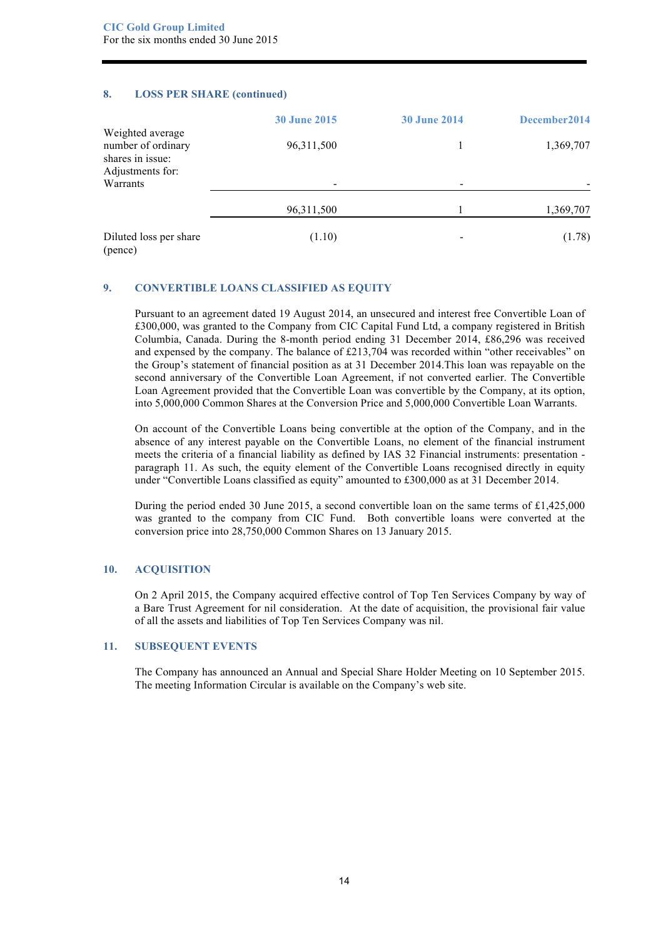#### **8. LOSS PER SHARE (continued)**

|                                                                                | <b>30 June 2015</b>      | <b>30 June 2014</b> | December 2014 |
|--------------------------------------------------------------------------------|--------------------------|---------------------|---------------|
| Weighted average<br>number of ordinary<br>shares in issue:<br>Adjustments for: | 96,311,500               |                     | 1,369,707     |
| Warrants                                                                       | $\overline{\phantom{a}}$ |                     |               |
|                                                                                | 96, 311, 500             |                     | 1,369,707     |
| Diluted loss per share<br>(pence)                                              | (1.10)                   |                     | (1.78)        |

# **9. CONVERTIBLE LOANS CLASSIFIED AS EQUITY**

Pursuant to an agreement dated 19 August 2014, an unsecured and interest free Convertible Loan of £300,000, was granted to the Company from CIC Capital Fund Ltd, a company registered in British Columbia, Canada. During the 8-month period ending 31 December 2014, £86,296 was received and expensed by the company. The balance of £213,704 was recorded within "other receivables" on the Group's statement of financial position as at 31 December 2014.This loan was repayable on the second anniversary of the Convertible Loan Agreement, if not converted earlier. The Convertible Loan Agreement provided that the Convertible Loan was convertible by the Company, at its option, into 5,000,000 Common Shares at the Conversion Price and 5,000,000 Convertible Loan Warrants.

On account of the Convertible Loans being convertible at the option of the Company, and in the absence of any interest payable on the Convertible Loans, no element of the financial instrument meets the criteria of a financial liability as defined by IAS 32 Financial instruments: presentation paragraph 11. As such, the equity element of the Convertible Loans recognised directly in equity under "Convertible Loans classified as equity" amounted to £300,000 as at 31 December 2014.

During the period ended 30 June 2015, a second convertible loan on the same terms of £1,425,000 was granted to the company from CIC Fund. Both convertible loans were converted at the conversion price into 28,750,000 Common Shares on 13 January 2015.

# **10. ACQUISITION**

On 2 April 2015, the Company acquired effective control of Top Ten Services Company by way of a Bare Trust Agreement for nil consideration. At the date of acquisition, the provisional fair value of all the assets and liabilities of Top Ten Services Company was nil.

#### **11. SUBSEQUENT EVENTS**

The Company has announced an Annual and Special Share Holder Meeting on 10 September 2015. The meeting Information Circular is available on the Company's web site.